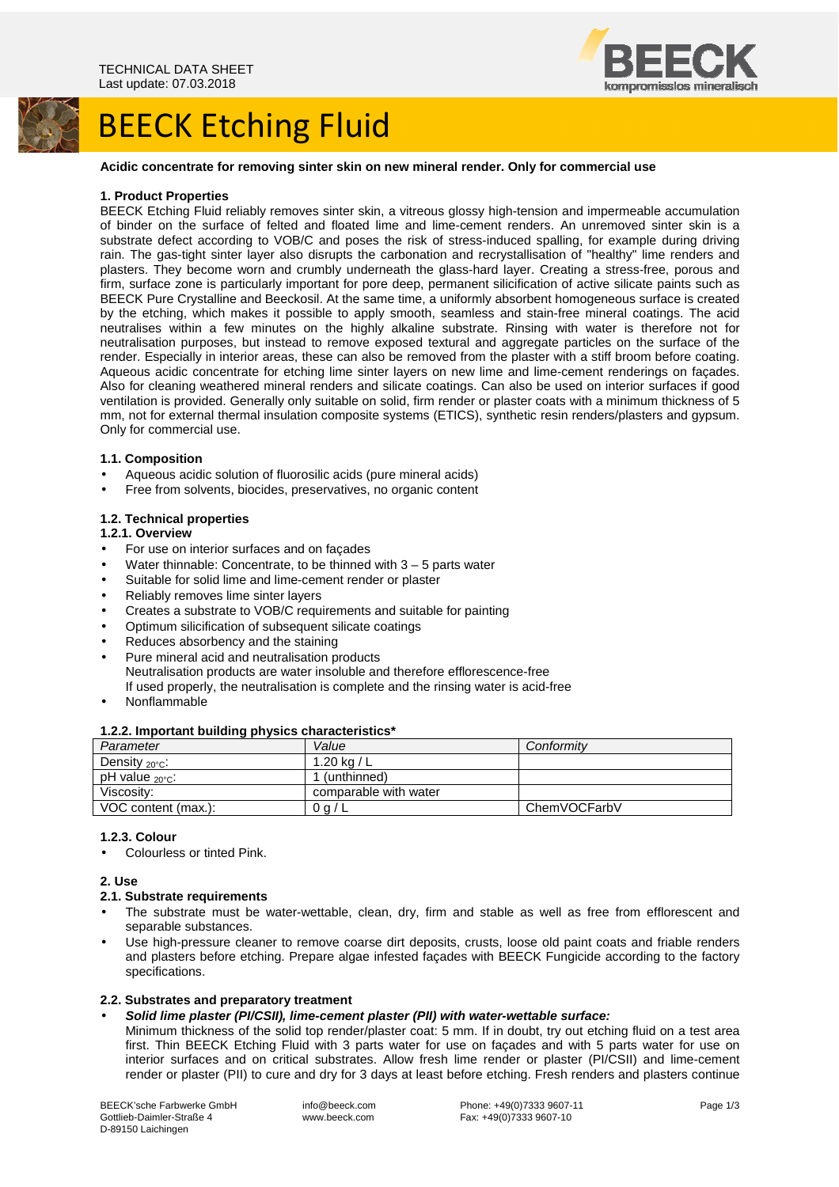

# **BEECK Etching Fluid**

## **Acidic concentrate for removing sinter skin on new mineral render. Only for commercial use**

#### **1. Product Properties**

BEECK Etching Fluid reliably removes sinter skin, a vitreous glossy high-tension and impermeable accumulation of binder on the surface of felted and floated lime and lime-cement renders. An unremoved sinter skin is a substrate defect according to VOB/C and poses the risk of stress-induced spalling, for example during driving rain. The gas-tight sinter layer also disrupts the carbonation and recrystallisation of "healthy" lime renders and plasters. They become worn and crumbly underneath the glass-hard layer. Creating a stress-free, porous and firm, surface zone is particularly important for pore deep, permanent silicification of active silicate paints such as BEECK Pure Crystalline and Beeckosil. At the same time, a uniformly absorbent homogeneous surface is created by the etching, which makes it possible to apply smooth, seamless and stain-free mineral coatings. The acid neutralises within a few minutes on the highly alkaline substrate. Rinsing with water is therefore not for neutralisation purposes, but instead to remove exposed textural and aggregate particles on the surface of the render. Especially in interior areas, these can also be removed from the plaster with a stiff broom before coating. Aqueous acidic concentrate for etching lime sinter layers on new lime and lime-cement renderings on façades. Also for cleaning weathered mineral renders and silicate coatings. Can also be used on interior surfaces if good ventilation is provided. Generally only suitable on solid, firm render or plaster coats with a minimum thickness of 5 mm, not for external thermal insulation composite systems (ETICS), synthetic resin renders/plasters and gypsum. Only for commercial use.

## **1.1. Composition**

- Aqueous acidic solution of fluorosilic acids (pure mineral acids)
- Free from solvents, biocides, preservatives, no organic content

## **1.2. Technical properties**

#### **1.2.1. Overview**

- For use on interior surfaces and on façades
- Water thinnable: Concentrate, to be thinned with  $3 5$  parts water
- Suitable for solid lime and lime-cement render or plaster
- Reliably removes lime sinter layers
- Creates a substrate to VOB/C requirements and suitable for painting
- Optimum silicification of subsequent silicate coatings
- Reduces absorbency and the staining
- Pure mineral acid and neutralisation products Neutralisation products are water insoluble and therefore efflorescence-free If used properly, the neutralisation is complete and the rinsing water is acid-free
- Nonflammable

#### **1.2.2. Important building physics characteristics\***

| Parameter                  | Value                 | Conformity   |
|----------------------------|-----------------------|--------------|
| Density $_{20^{\circ}$ C:  | 1.20 kg / L           |              |
| $pH$ value $20^{\circ}$ c: | 1 (unthinned)         |              |
| Viscosity:                 | comparable with water |              |
| VOC content (max.):        | 0 g / L               | ChemVOCFarbV |

## **1.2.3. Colour**

• Colourless or tinted Pink.

## **2. Use**

## **2.1. Substrate requirements**

- The substrate must be water-wettable, clean, dry, firm and stable as well as free from efflorescent and separable substances.
- Use high-pressure cleaner to remove coarse dirt deposits, crusts, loose old paint coats and friable renders and plasters before etching. Prepare algae infested façades with BEECK Fungicide according to the factory specifications.

## **2.2. Substrates and preparatory treatment**

- **Solid lime plaster (PI/CSII), lime-cement plaster (PII) with water-wettable surface:** 
	- Minimum thickness of the solid top render/plaster coat: 5 mm. If in doubt, try out etching fluid on a test area first. Thin BEECK Etching Fluid with 3 parts water for use on façades and with 5 parts water for use on interior surfaces and on critical substrates. Allow fresh lime render or plaster (PI/CSII) and lime-cement render or plaster (PII) to cure and dry for 3 days at least before etching. Fresh renders and plasters continue

BEECK'sche Farbwerke GmbH Gottlieb-Daimler-Straße 4 D-89150 Laichingen

 info@beeck.com www.beeck.com

 Phone: +49(0)7333 9607-11 Fax: +49(0)7333 9607-10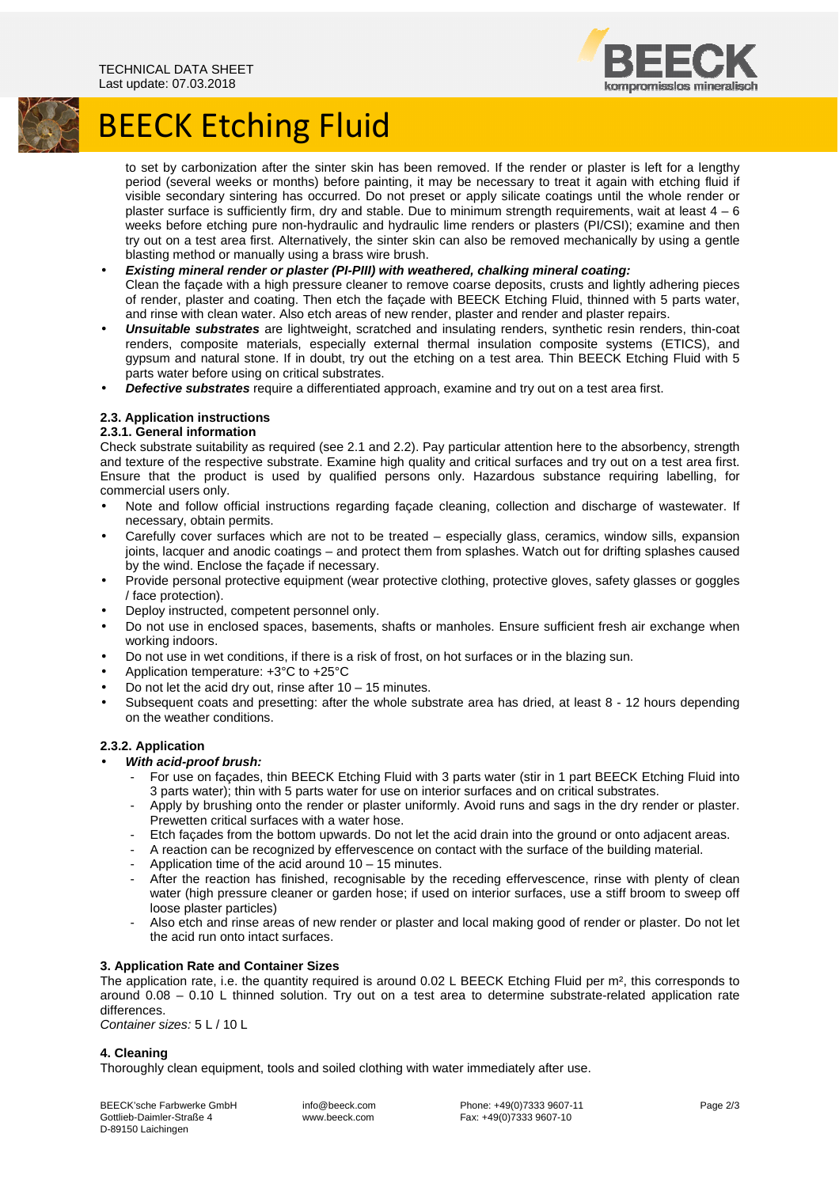

## **BEECK Etching Fluid**

to set by carbonization after the sinter skin has been removed. If the render or plaster is left for a lengthy period (several weeks or months) before painting, it may be necessary to treat it again with etching fluid if visible secondary sintering has occurred. Do not preset or apply silicate coatings until the whole render or plaster surface is sufficiently firm, dry and stable. Due to minimum strength requirements, wait at least  $4 - 6$ weeks before etching pure non-hydraulic and hydraulic lime renders or plasters (PI/CSI); examine and then try out on a test area first. Alternatively, the sinter skin can also be removed mechanically by using a gentle blasting method or manually using a brass wire brush.

- **Existing mineral render or plaster (PI-PIII) with weathered, chalking mineral coating:**  Clean the façade with a high pressure cleaner to remove coarse deposits, crusts and lightly adhering pieces of render, plaster and coating. Then etch the façade with BEECK Etching Fluid, thinned with 5 parts water, and rinse with clean water. Also etch areas of new render, plaster and render and plaster repairs.
- **Unsuitable substrates** are lightweight, scratched and insulating renders, synthetic resin renders, thin-coat renders, composite materials, especially external thermal insulation composite systems (ETICS), and gypsum and natural stone. If in doubt, try out the etching on a test area. Thin BEECK Etching Fluid with 5 parts water before using on critical substrates.
- **Defective substrates** require a differentiated approach, examine and try out on a test area first.

## **2.3. Application instructions**

## **2.3.1. General information**

Check substrate suitability as required (see 2.1 and 2.2). Pay particular attention here to the absorbency, strength and texture of the respective substrate. Examine high quality and critical surfaces and try out on a test area first. Ensure that the product is used by qualified persons only. Hazardous substance requiring labelling, for commercial users only.

- Note and follow official instructions regarding façade cleaning, collection and discharge of wastewater. If necessary, obtain permits.
- Carefully cover surfaces which are not to be treated especially glass, ceramics, window sills, expansion joints, lacquer and anodic coatings – and protect them from splashes. Watch out for drifting splashes caused by the wind. Enclose the façade if necessary.
- Provide personal protective equipment (wear protective clothing, protective gloves, safety glasses or goggles / face protection).
- Deploy instructed, competent personnel only.
- Do not use in enclosed spaces, basements, shafts or manholes. Ensure sufficient fresh air exchange when working indoors.
- Do not use in wet conditions, if there is a risk of frost, on hot surfaces or in the blazing sun.
- Application temperature: +3°C to +25°C
- Do not let the acid dry out, rinse after  $10 15$  minutes.
- Subsequent coats and presetting: after the whole substrate area has dried, at least 8 12 hours depending on the weather conditions.

## **2.3.2. Application**

- **With acid-proof brush:** 
	- For use on facades, thin BEECK Etching Fluid with 3 parts water (stir in 1 part BEECK Etching Fluid into 3 parts water); thin with 5 parts water for use on interior surfaces and on critical substrates.
	- Apply by brushing onto the render or plaster uniformly. Avoid runs and sags in the dry render or plaster. Prewetten critical surfaces with a water hose.
	- Etch facades from the bottom upwards. Do not let the acid drain into the ground or onto adjacent areas.
	- A reaction can be recognized by effervescence on contact with the surface of the building material.
	- Application time of the acid around  $10 15$  minutes.
	- After the reaction has finished, recognisable by the receding effervescence, rinse with plenty of clean water (high pressure cleaner or garden hose; if used on interior surfaces, use a stiff broom to sweep off loose plaster particles)
	- Also etch and rinse areas of new render or plaster and local making good of render or plaster. Do not let the acid run onto intact surfaces.

## **3. Application Rate and Container Sizes**

The application rate, i.e. the quantity required is around 0.02 L BEECK Etching Fluid per m², this corresponds to around 0.08 – 0.10 L thinned solution. Try out on a test area to determine substrate-related application rate differences.

Container sizes: 5 L / 10 L

## **4. Cleaning**

Thoroughly clean equipment, tools and soiled clothing with water immediately after use.

BEECK'sche Farbwerke GmbH Gottlieb-Daimler-Straße 4 D-89150 Laichingen

 info@beeck.com www.beeck.com

 Phone: +49(0)7333 9607-11 Fax: +49(0)7333 9607-10